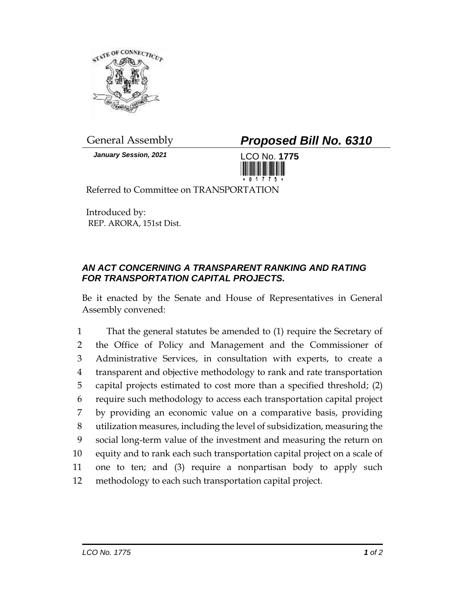

*January Session, 2021* LCO No. **1775**

General Assembly *Proposed Bill No. 6310*



Referred to Committee on TRANSPORTATION

Introduced by: REP. ARORA, 151st Dist.

## *AN ACT CONCERNING A TRANSPARENT RANKING AND RATING FOR TRANSPORTATION CAPITAL PROJECTS.*

Be it enacted by the Senate and House of Representatives in General Assembly convened:

 That the general statutes be amended to (1) require the Secretary of the Office of Policy and Management and the Commissioner of Administrative Services, in consultation with experts, to create a transparent and objective methodology to rank and rate transportation capital projects estimated to cost more than a specified threshold; (2) require such methodology to access each transportation capital project by providing an economic value on a comparative basis, providing utilization measures, including the level of subsidization, measuring the social long-term value of the investment and measuring the return on equity and to rank each such transportation capital project on a scale of one to ten; and (3) require a nonpartisan body to apply such methodology to each such transportation capital project.